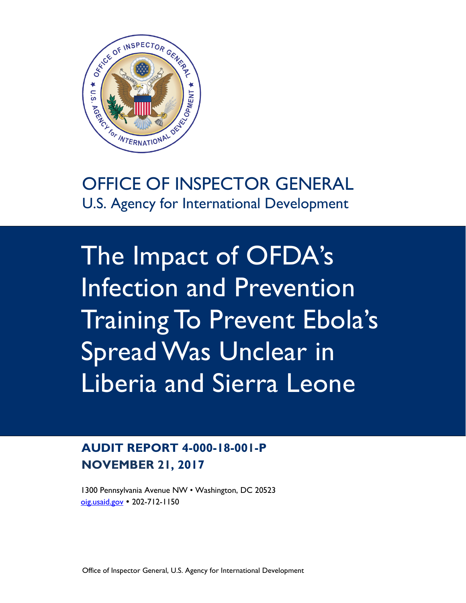

# OFFICE OF INSPECTOR GENERAL U.S. Agency for International Development

The Impact of OFDA's Infection and Prevention Training To Prevent Ebola's Spread Was Unclear in Liberia and Sierra Leone

# **AUDIT REPORT 4-000-18-001-P NOVEMBER 21, 2017**

1300 Pennsylvania Avenue NW • Washington, DC 20523 [oig.usaid.gov](http://www.oig.usaid.gov/) 202-712-1150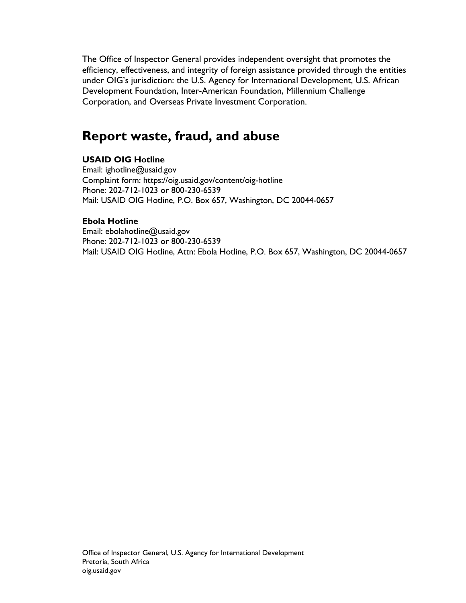The Office of Inspector General provides independent oversight that promotes the efficiency, effectiveness, and integrity of foreign assistance provided through the entities under OIG's jurisdiction: the U.S. Agency for International Development, U.S. African Development Foundation, Inter-American Foundation, Millennium Challenge Corporation, and Overseas Private Investment Corporation.

# **Report waste, fraud, and abuse**

#### **USAID OIG Hotline**

Email: ighotline@usaid.gov Complaint form: https://oig.usaid.gov/content/oig-hotline Phone: 202-712-1023 or 800-230-6539 Mail: USAID OIG Hotline, P.O. Box 657, Washington, DC 20044-0657

#### **Ebola Hotline**

Email: ebolahotline@usaid.gov Phone: 202-712-1023 or 800-230-6539 Mail: USAID OIG Hotline, Attn: Ebola Hotline, P.O. Box 657, Washington, DC 20044-0657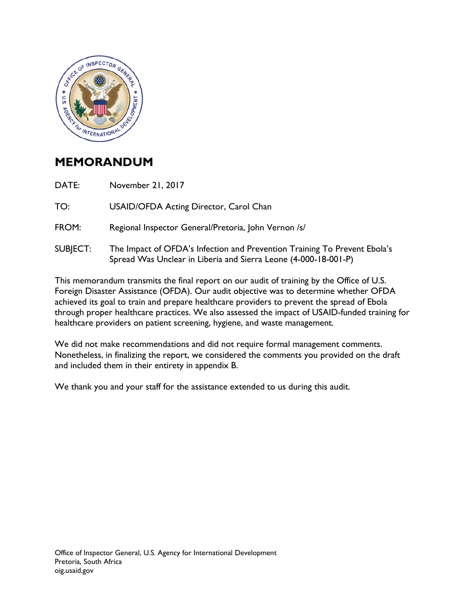

## **MEMORANDUM**

DATE: November 21, 2017

TO: USAID/OFDA Acting Director, Carol Chan

- FROM: Regional Inspector General/Pretoria, John Vernon /s/
- SUBJECT: The Impact of OFDA's Infection and Prevention Training To Prevent Ebola's Spread Was Unclear in Liberia and Sierra Leone (4-000-18-001-P)

This memorandum transmits the final report on our audit of training by the Office of U.S. Foreign Disaster Assistance (OFDA). Our audit objective was to determine whether OFDA achieved its goal to train and prepare healthcare providers to prevent the spread of Ebola through proper healthcare practices. We also assessed the impact of USAID-funded training for healthcare providers on patient screening, hygiene, and waste management.

We did not make recommendations and did not require formal management comments. Nonetheless, in finalizing the report, we considered the comments you provided on the draft and included them in their entirety in appendix B.

We thank you and your staff for the assistance extended to us during this audit.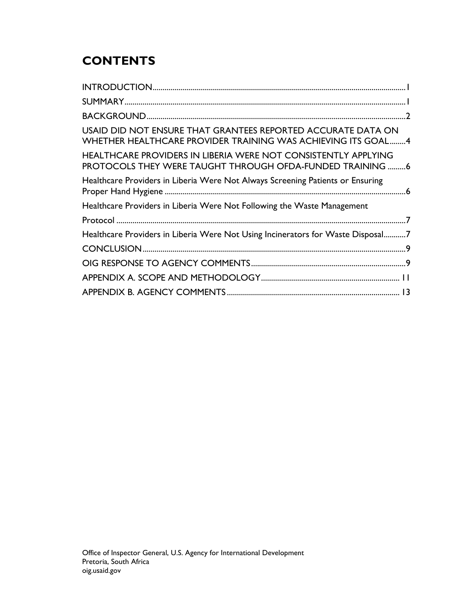# **CONTENTS**

| USAID DID NOT ENSURE THAT GRANTEES REPORTED ACCURATE DATA ON<br><b>WHETHER HEALTHCARE PROVIDER TRAINING WAS ACHIEVING ITS GOAL4</b> |
|-------------------------------------------------------------------------------------------------------------------------------------|
| HEALTHCARE PROVIDERS IN LIBERIA WERE NOT CONSISTENTLY APPLYING<br>PROTOCOLS THEY WERE TAUGHT THROUGH OFDA-FUNDED TRAINING 6         |
| Healthcare Providers in Liberia Were Not Always Screening Patients or Ensuring                                                      |
| Healthcare Providers in Liberia Were Not Following the Waste Management                                                             |
|                                                                                                                                     |
| Healthcare Providers in Liberia Were Not Using Incinerators for Waste Disposal7                                                     |
|                                                                                                                                     |
|                                                                                                                                     |
|                                                                                                                                     |
|                                                                                                                                     |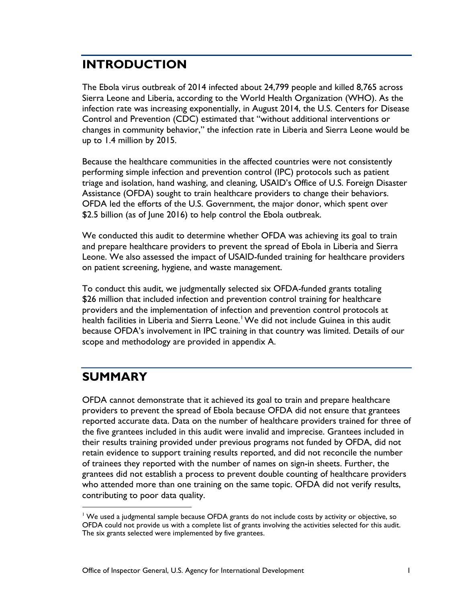### **INTRODUCTION**

The Ebola virus outbreak of 2014 infected about 24,799 people and killed 8,765 across Sierra Leone and Liberia, according to the World Health Organization (WHO). As the infection rate was increasing exponentially, in August 2014, the U.S. Centers for Disease Control and Prevention (CDC) estimated that "without additional interventions or changes in community behavior," the infection rate in Liberia and Sierra Leone would be up to 1.4 million by 2015.

Because the healthcare communities in the affected countries were not consistently performing simple infection and prevention control (IPC) protocols such as patient triage and isolation, hand washing, and cleaning, USAID's Office of U.S. Foreign Disaster Assistance (OFDA) sought to train healthcare providers to change their behaviors. OFDA led the efforts of the U.S. Government, the major donor, which spent over \$2.5 billion (as of June 2016) to help control the Ebola outbreak.

We conducted this audit to determine whether OFDA was achieving its goal to train and prepare healthcare providers to prevent the spread of Ebola in Liberia and Sierra Leone. We also assessed the impact of USAID-funded training for healthcare providers on patient screening, hygiene, and waste management.

To conduct this audit, we judgmentally selected six OFDA-funded grants totaling \$26 million that included infection and prevention control training for healthcare providers and the implementation of infection and prevention control protocols at health facilities in Liberia and Sierra Leone.<sup>[1](#page-4-0)</sup> We did not include Guinea in this audit because OFDA's involvement in IPC training in that country was limited. Details of our scope and methodology are provided in appendix A.

### **SUMMARY**

OFDA cannot demonstrate that it achieved its goal to train and prepare healthcare providers to prevent the spread of Ebola because OFDA did not ensure that grantees reported accurate data. Data on the number of healthcare providers trained for three of the five grantees included in this audit were invalid and imprecise. Grantees included in their results training provided under previous programs not funded by OFDA, did not retain evidence to support training results reported, and did not reconcile the number of trainees they reported with the number of names on sign-in sheets. Further, the grantees did not establish a process to prevent double counting of healthcare providers who attended more than one training on the same topic. OFDA did not verify results, contributing to poor data quality.

<span id="page-4-0"></span><sup>&</sup>lt;sup>1</sup> We used a judgmental sample because OFDA grants do not include costs by activity or objective, so OFDA could not provide us with a complete list of grants involving the activities selected for this audit. The six grants selected were implemented by five grantees.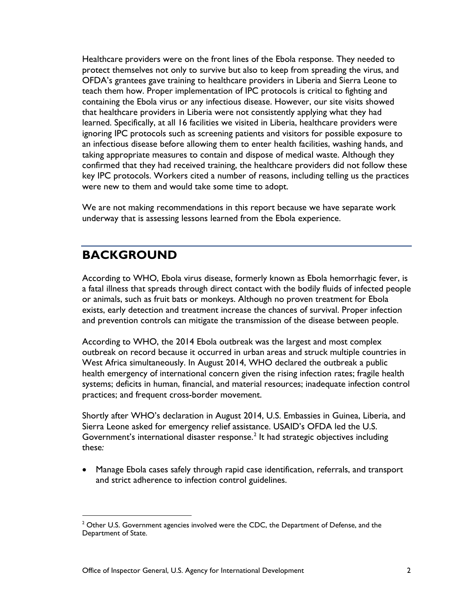Healthcare providers were on the front lines of the Ebola response. They needed to protect themselves not only to survive but also to keep from spreading the virus, and OFDA's grantees gave training to healthcare providers in Liberia and Sierra Leone to teach them how. Proper implementation of IPC protocols is critical to fighting and containing the Ebola virus or any infectious disease. However, our site visits showed that healthcare providers in Liberia were not consistently applying what they had learned. Specifically, at all 16 facilities we visited in Liberia, healthcare providers were ignoring IPC protocols such as screening patients and visitors for possible exposure to an infectious disease before allowing them to enter health facilities, washing hands, and taking appropriate measures to contain and dispose of medical waste. Although they confirmed that they had received training, the healthcare providers did not follow these key IPC protocols. Workers cited a number of reasons, including telling us the practices were new to them and would take some time to adopt.

We are not making recommendations in this report because we have separate work underway that is assessing lessons learned from the Ebola experience.

## **BACKGROUND**

According to WHO, Ebola virus disease, formerly known as Ebola hemorrhagic fever, is a fatal illness that spreads through direct contact with the bodily fluids of infected people or animals, such as fruit bats or monkeys. Although no proven treatment for Ebola exists, early detection and treatment increase the chances of survival. Proper infection and prevention controls can mitigate the transmission of the disease between people.

According to WHO, the 2014 Ebola outbreak was the largest and most complex outbreak on record because it occurred in urban areas and struck multiple countries in West Africa simultaneously. In August 2014, WHO declared the outbreak a public health emergency of international concern given the rising infection rates; fragile health systems; deficits in human, financial, and material resources; inadequate infection control practices; and frequent cross-border movement.

Shortly after WHO's declaration in August 2014, U.S. Embassies in Guinea, Liberia, and Sierra Leone asked for emergency relief assistance. USAID's OFDA led the U.S. Government's international disaster response. [2](#page-5-0) It had strategic objectives including these*:*

• Manage Ebola cases safely through rapid case identification, referrals, and transport and strict adherence to infection control guidelines.

<span id="page-5-0"></span> $2$  Other U.S. Government agencies involved were the CDC, the Department of Defense, and the Department of State.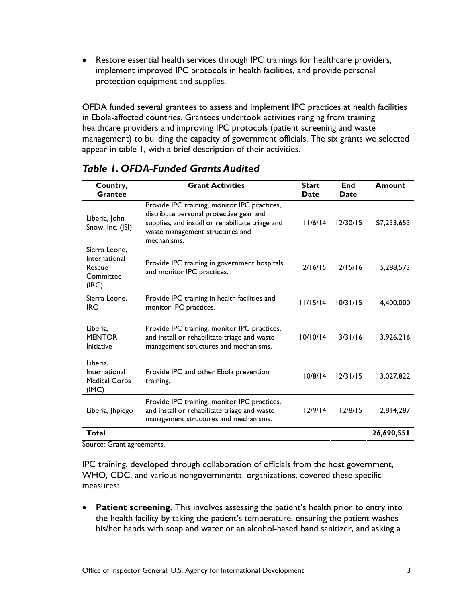• Restore essential health services through IPC trainings for healthcare providers, implement improved IPC protocols in health facilities, and provide personal protection equipment and supplies.

OFDA funded several grantees to assess and implement IPC practices at health facilities in Ebola-affected countries. Grantees undertook activities ranging from training healthcare providers and improving IPC protocols (patient screening and waste management) to building the capacity of government officials. The six grants we selected appear in table 1, with a brief description of their activities.

| Country,<br><b>Grantee</b>                                     | <b>Grant Activities</b>                                                                                                                                                                       | <b>Start</b><br>Date | End<br>Date | Amount      |
|----------------------------------------------------------------|-----------------------------------------------------------------------------------------------------------------------------------------------------------------------------------------------|----------------------|-------------|-------------|
| Liberia, John<br>Snow, Inc. (JSI)                              | Provide IPC training, monitor IPC practices,<br>distribute personal protective gear and<br>supplies, and install or rehabilitate triage and<br>waste management structures and<br>mechanisms. | 11/6/14              | 12/30/15    | \$7,233,653 |
| Sierra Leone.<br>International<br>Rescue<br>Committee<br>(IRC) | Provide IPC training in government hospitals<br>and monitor IPC practices.                                                                                                                    | 2/16/15              | 2/15/16     | 5,288,573   |
| Sierra Leone.<br><b>IRC</b>                                    | Provide IPC training in health facilities and<br>monitor IPC practices.                                                                                                                       | 11/15/14             | 10/31/15    | 4,400,000   |
| Liberia.<br><b>MENTOR</b><br>Initiative                        | Provide IPC training, monitor IPC practices,<br>and install or rehabilitate triage and waste<br>management structures and mechanisms.                                                         | 10/10/14             | 3/31/16     | 3,926,216   |
| Liberia,<br>International<br><b>Medical Corps</b><br>(IMC)     | Provide IPC and other Ebola prevention<br>training.                                                                                                                                           | 10/8/14              | 12/31/15    | 3,027,822   |
| Liberia, Jhpiego                                               | Provide IPC training, monitor IPC practices,<br>and install or rehabilitate triage and waste<br>management structures and mechanisms.                                                         | 12/9/14              | 12/8/15     | 2,814,287   |
| Total                                                          |                                                                                                                                                                                               |                      |             | 26,690,551  |

### *Table 1. OFDA-Funded Grants Audited*

Source: Grant agreements.

IPC training, developed through collaboration of officials from the host government, WHO, CDC, and various nongovernmental organizations, covered these specific measures:

• **Patient screening.** This involves assessing the patient's health prior to entry into the health facility by taking the patient's temperature, ensuring the patient washes his/her hands with soap and water or an alcohol-based hand sanitizer, and asking a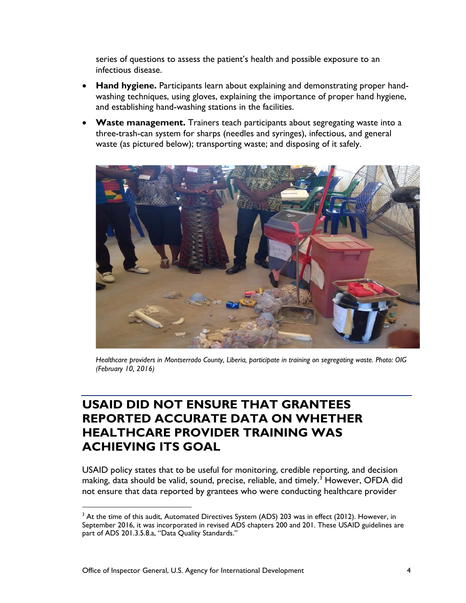series of questions to assess the patient's health and possible exposure to an infectious disease.

- **Hand hygiene.** Participants learn about explaining and demonstrating proper handwashing techniques, using gloves, explaining the importance of proper hand hygiene, and establishing hand-washing stations in the facilities.
- **Waste management.** Trainers teach participants about segregating waste into a three-trash-can system for sharps (needles and syringes), infectious, and general waste (as pictured below); transporting waste; and disposing of it safely.



*Healthcare providers in Montserrado County, Liberia, participate in training on segregating waste. Photo: OIG (February 10, 2016)*

### **USAID DID NOT ENSURE THAT GRANTEES REPORTED ACCURATE DATA ON WHETHER HEALTHCARE PROVIDER TRAINING WAS ACHIEVING ITS GOAL**

USAID policy states that to be useful for monitoring, credible reporting, and decision making, data should be valid, sound, precise, reliable, and timely.<sup>[3](#page-7-0)</sup> However, OFDA did not ensure that data reported by grantees who were conducting healthcare provider

<span id="page-7-0"></span> $3$  At the time of this audit, Automated Directives System (ADS) 203 was in effect (2012). However, in September 2016, it was incorporated in revised ADS chapters 200 and 201. These USAID guidelines are part of ADS 201.3.5.8.a, "Data Quality Standards."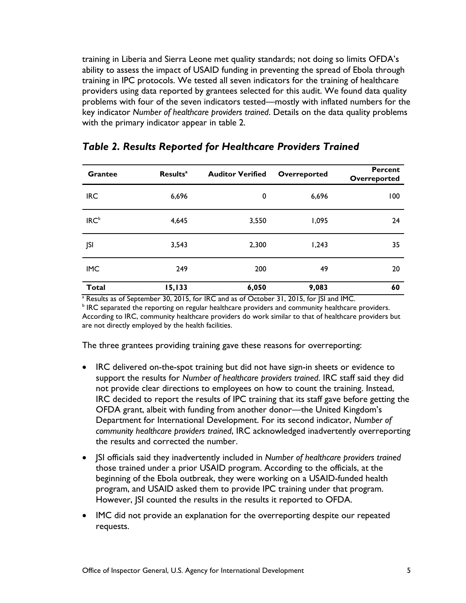training in Liberia and Sierra Leone met quality standards; not doing so limits OFDA's ability to assess the impact of USAID funding in preventing the spread of Ebola through training in IPC protocols. We tested all seven indicators for the training of healthcare providers using data reported by grantees selected for this audit. We found data quality problems with four of the seven indicators tested—mostly with inflated numbers for the key indicator *Number of healthcare providers trained*. Details on the data quality problems with the primary indicator appear in table 2.

| <b>Grantee</b>                | <b>Results<sup>a</sup></b> | <b>Auditor Verified</b> | Overreported | <b>Percent</b><br>Overreported |
|-------------------------------|----------------------------|-------------------------|--------------|--------------------------------|
| <b>IRC</b>                    | 6,696                      | 0                       | 6,696        | 100                            |
| IRC <sup>b</sup>              | 4,645                      | 3,550                   | 1,095        | 24                             |
| JSI                           | 3,543                      | 2,300                   | 1,243        | 35                             |
| <b>IMC</b>                    | 249                        | 200                     | 49           | 20                             |
| <b>Total</b><br>$\sim$ $\sim$ | 15,133                     | 6,050                   | 9,083        | 60<br>$\sim$ $\sim$ $\sim$     |

#### *Table 2. Results Reported for Healthcare Providers Trained*

<sup>a</sup> Results as of September 30, 2015, for IRC and as of October 31, 2015, for JSI and IMC.

<sup>b</sup> IRC separated the reporting on regular healthcare providers and community healthcare providers. According to IRC, community healthcare providers do work similar to that of healthcare providers but are not directly employed by the health facilities.

The three grantees providing training gave these reasons for overreporting:

- IRC delivered on-the-spot training but did not have sign-in sheets or evidence to support the results for *Number of healthcare providers trained*. IRC staff said they did not provide clear directions to employees on how to count the training. Instead, IRC decided to report the results of IPC training that its staff gave before getting the OFDA grant, albeit with funding from another donor—the United Kingdom's Department for International Development. For its second indicator, *Number of community healthcare providers trained*, IRC acknowledged inadvertently overreporting the results and corrected the number.
- JSI officials said they inadvertently included in *Number of healthcare providers trained* those trained under a prior USAID program. According to the officials, at the beginning of the Ebola outbreak, they were working on a USAID-funded health program, and USAID asked them to provide IPC training under that program. However, JSI counted the results in the results it reported to OFDA.
- IMC did not provide an explanation for the overreporting despite our repeated requests.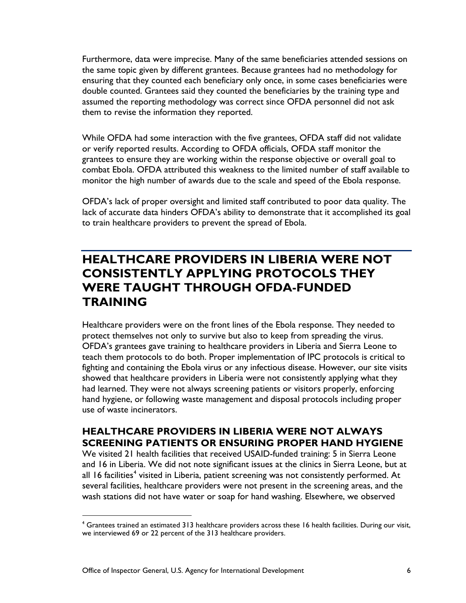Furthermore, data were imprecise. Many of the same beneficiaries attended sessions on the same topic given by different grantees. Because grantees had no methodology for ensuring that they counted each beneficiary only once, in some cases beneficiaries were double counted. Grantees said they counted the beneficiaries by the training type and assumed the reporting methodology was correct since OFDA personnel did not ask them to revise the information they reported.

While OFDA had some interaction with the five grantees, OFDA staff did not validate or verify reported results. According to OFDA officials, OFDA staff monitor the grantees to ensure they are working within the response objective or overall goal to combat Ebola. OFDA attributed this weakness to the limited number of staff available to monitor the high number of awards due to the scale and speed of the Ebola response.

OFDA's lack of proper oversight and limited staff contributed to poor data quality. The lack of accurate data hinders OFDA's ability to demonstrate that it accomplished its goal to train healthcare providers to prevent the spread of Ebola.

### **HEALTHCARE PROVIDERS IN LIBERIA WERE NOT CONSISTENTLY APPLYING PROTOCOLS THEY WERE TAUGHT THROUGH OFDA-FUNDED TRAINING**

Healthcare providers were on the front lines of the Ebola response. They needed to protect themselves not only to survive but also to keep from spreading the virus. OFDA's grantees gave training to healthcare providers in Liberia and Sierra Leone to teach them protocols to do both. Proper implementation of IPC protocols is critical to fighting and containing the Ebola virus or any infectious disease. However, our site visits showed that healthcare providers in Liberia were not consistently applying what they had learned. They were not always screening patients or visitors properly, enforcing hand hygiene, or following waste management and disposal protocols including proper use of waste incinerators.

### **HEALTHCARE PROVIDERS IN LIBERIA WERE NOT ALWAYS SCREENING PATIENTS OR ENSURING PROPER HAND HYGIENE**

We visited 21 health facilities that received USAID-funded training: 5 in Sierra Leone and 16 in Liberia. We did not note significant issues at the clinics in Sierra Leone, but at all 16 facilities<sup>[4](#page-9-0)</sup> visited in Liberia, patient screening was not consistently performed. At several facilities, healthcare providers were not present in the screening areas, and the wash stations did not have water or soap for hand washing. Elsewhere, we observed

<span id="page-9-0"></span><sup>&</sup>lt;sup>4</sup> Grantees trained an estimated 313 healthcare providers across these 16 health facilities. During our visit, we interviewed 69 or 22 percent of the 313 healthcare providers.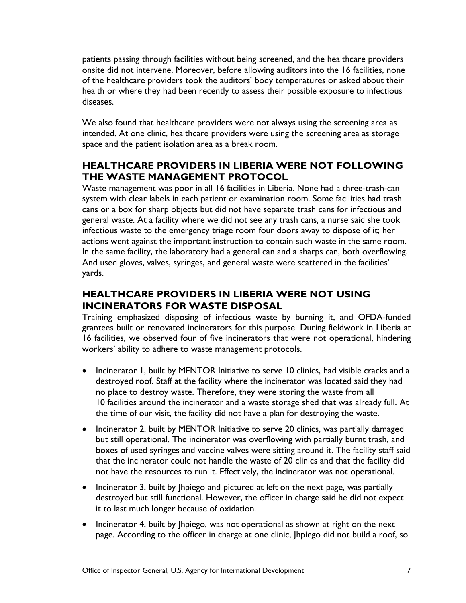patients passing through facilities without being screened, and the healthcare providers onsite did not intervene. Moreover, before allowing auditors into the 16 facilities, none of the healthcare providers took the auditors' body temperatures or asked about their health or where they had been recently to assess their possible exposure to infectious diseases.

We also found that healthcare providers were not always using the screening area as intended. At one clinic, healthcare providers were using the screening area as storage space and the patient isolation area as a break room.

### **HEALTHCARE PROVIDERS IN LIBERIA WERE NOT FOLLOWING THE WASTE MANAGEMENT PROTOCOL**

Waste management was poor in all 16 facilities in Liberia. None had a three-trash-can system with clear labels in each patient or examination room. Some facilities had trash cans or a box for sharp objects but did not have separate trash cans for infectious and general waste. At a facility where we did not see any trash cans, a nurse said she took infectious waste to the emergency triage room four doors away to dispose of it; her actions went against the important instruction to contain such waste in the same room. In the same facility, the laboratory had a general can and a sharps can, both overflowing. And used gloves, valves, syringes, and general waste were scattered in the facilities' yards.

### **HEALTHCARE PROVIDERS IN LIBERIA WERE NOT USING INCINERATORS FOR WASTE DISPOSAL**

Training emphasized disposing of infectious waste by burning it, and OFDA-funded grantees built or renovated incinerators for this purpose. During fieldwork in Liberia at 16 facilities, we observed four of five incinerators that were not operational, hindering workers' ability to adhere to waste management protocols.

- Incinerator 1, built by MENTOR Initiative to serve 10 clinics, had visible cracks and a destroyed roof. Staff at the facility where the incinerator was located said they had no place to destroy waste. Therefore, they were storing the waste from all 10 facilities around the incinerator and a waste storage shed that was already full. At the time of our visit, the facility did not have a plan for destroying the waste.
- Incinerator 2, built by MENTOR Initiative to serve 20 clinics, was partially damaged but still operational. The incinerator was overflowing with partially burnt trash, and boxes of used syringes and vaccine valves were sitting around it. The facility staff said that the incinerator could not handle the waste of 20 clinics and that the facility did not have the resources to run it. Effectively, the incinerator was not operational.
- Incinerator 3, built by Jhpiego and pictured at left on the next page, was partially destroyed but still functional. However, the officer in charge said he did not expect it to last much longer because of oxidation.
- Incinerator 4, built by Ihpiego, was not operational as shown at right on the next page. According to the officer in charge at one clinic, Jhpiego did not build a roof, so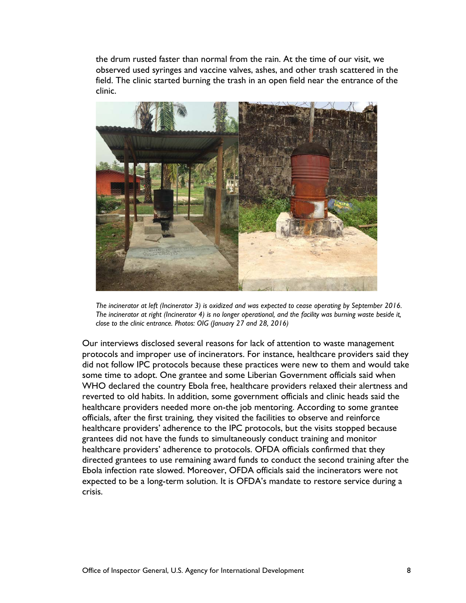the drum rusted faster than normal from the rain. At the time of our visit, we observed used syringes and vaccine valves, ashes, and other trash scattered in the field. The clinic started burning the trash in an open field near the entrance of the clinic.



*The incinerator at left (Incinerator 3) is oxidized and was expected to cease operating by September 2016. The incinerator at right (Incinerator 4) is no longer operational, and the facility was burning waste beside it, close to the clinic entrance. Photos: OIG (January 27 and 28, 2016)*

Our interviews disclosed several reasons for lack of attention to waste management protocols and improper use of incinerators. For instance, healthcare providers said they did not follow IPC protocols because these practices were new to them and would take some time to adopt. One grantee and some Liberian Government officials said when WHO declared the country Ebola free, healthcare providers relaxed their alertness and reverted to old habits. In addition, some government officials and clinic heads said the healthcare providers needed more on-the job mentoring. According to some grantee officials, after the first training*,* they visited the facilities to observe and reinforce healthcare providers' adherence to the IPC protocols, but the visits stopped because grantees did not have the funds to simultaneously conduct training and monitor healthcare providers' adherence to protocols. OFDA officials confirmed that they directed grantees to use remaining award funds to conduct the second training after the Ebola infection rate slowed. Moreover, OFDA officials said the incinerators were not expected to be a long-term solution. It is OFDA's mandate to restore service during a crisis.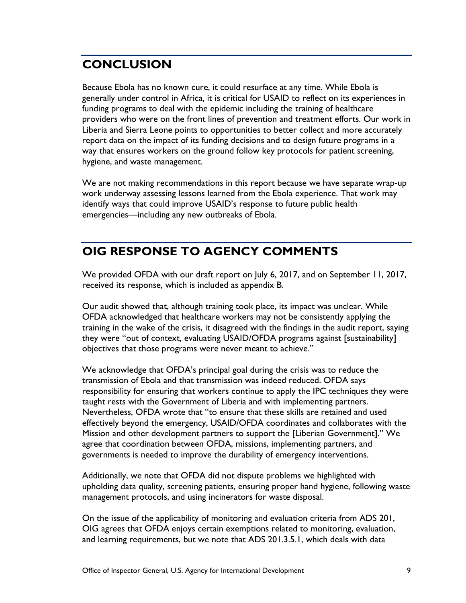# **CONCLUSION**

Because Ebola has no known cure, it could resurface at any time. While Ebola is generally under control in Africa, it is critical for USAID to reflect on its experiences in funding programs to deal with the epidemic including the training of healthcare providers who were on the front lines of prevention and treatment efforts. Our work in Liberia and Sierra Leone points to opportunities to better collect and more accurately report data on the impact of its funding decisions and to design future programs in a way that ensures workers on the ground follow key protocols for patient screening, hygiene, and waste management.

We are not making recommendations in this report because we have separate wrap-up work underway assessing lessons learned from the Ebola experience. That work may identify ways that could improve USAID's response to future public health emergencies—including any new outbreaks of Ebola.

### **OIG RESPONSE TO AGENCY COMMENTS**

We provided OFDA with our draft report on July 6, 2017, and on September 11, 2017, received its response, which is included as appendix B.

Our audit showed that, although training took place, its impact was unclear. While OFDA acknowledged that healthcare workers may not be consistently applying the training in the wake of the crisis, it disagreed with the findings in the audit report, saying they were "out of context, evaluating USAID/OFDA programs against [sustainability] objectives that those programs were never meant to achieve."

We acknowledge that OFDA's principal goal during the crisis was to reduce the transmission of Ebola and that transmission was indeed reduced. OFDA says responsibility for ensuring that workers continue to apply the IPC techniques they were taught rests with the Government of Liberia and with implementing partners. Nevertheless, OFDA wrote that "to ensure that these skills are retained and used effectively beyond the emergency, USAID/OFDA coordinates and collaborates with the Mission and other development partners to support the [Liberian Government]." We agree that coordination between OFDA, missions, implementing partners, and governments is needed to improve the durability of emergency interventions.

Additionally, we note that OFDA did not dispute problems we highlighted with upholding data quality, screening patients, ensuring proper hand hygiene, following waste management protocols, and using incinerators for waste disposal.

On the issue of the applicability of monitoring and evaluation criteria from ADS 201, OIG agrees that OFDA enjoys certain exemptions related to monitoring, evaluation, and learning requirements, but we note that ADS 201.3.5.1, which deals with data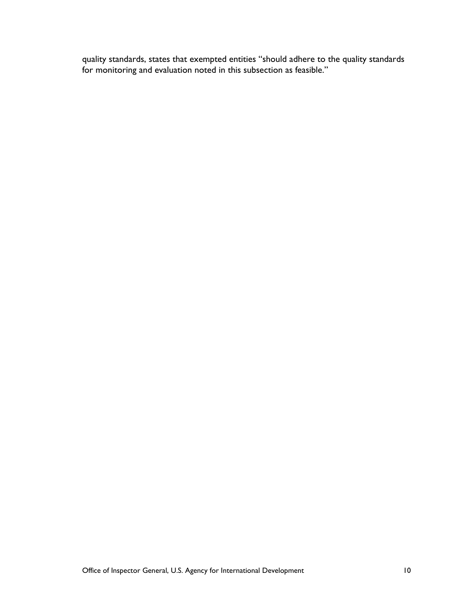quality standards, states that exempted entities "should adhere to the quality standards for monitoring and evaluation noted in this subsection as feasible."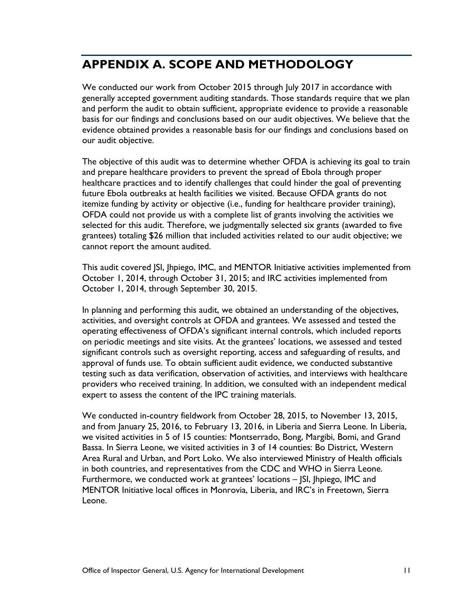## **APPENDIX A. SCOPE AND METHODOLOGY**

We conducted our work from October 2015 through July 2017 in accordance with generally accepted government auditing standards. Those standards require that we plan and perform the audit to obtain sufficient, appropriate evidence to provide a reasonable basis for our findings and conclusions based on our audit objectives. We believe that the evidence obtained provides a reasonable basis for our findings and conclusions based on our audit objective.

The objective of this audit was to determine whether OFDA is achieving its goal to train and prepare healthcare providers to prevent the spread of Ebola through proper healthcare practices and to identify challenges that could hinder the goal of preventing future Ebola outbreaks at health facilities we visited. Because OFDA grants do not itemize funding by activity or objective (i.e., funding for healthcare provider training), OFDA could not provide us with a complete list of grants involving the activities we selected for this audit. Therefore, we judgmentally selected six grants (awarded to five grantees) totaling \$26 million that included activities related to our audit objective; we cannot report the amount audited.

This audit covered JSI, Jhpiego, IMC, and MENTOR Initiative activities implemented from October 1, 2014, through October 31, 2015; and IRC activities implemented from October 1, 2014, through September 30, 2015.

In planning and performing this audit, we obtained an understanding of the objectives, activities, and oversight controls at OFDA and grantees. We assessed and tested the operating effectiveness of OFDA's significant internal controls, which included reports on periodic meetings and site visits. At the grantees' locations, we assessed and tested significant controls such as oversight reporting, access and safeguarding of results, and approval of funds use. To obtain sufficient audit evidence, we conducted substantive testing such as data verification, observation of activities, and interviews with healthcare providers who received training. In addition, we consulted with an independent medical expert to assess the content of the IPC training materials.

We conducted in-country fieldwork from October 28, 2015, to November 13, 2015, and from January 25, 2016, to February 13, 2016, in Liberia and Sierra Leone. In Liberia, we visited activities in 5 of 15 counties: Montserrado, Bong, Margibi, Bomi, and Grand Bassa. In Sierra Leone, we visited activities in 3 of 14 counties: Bo District, Western Area Rural and Urban, and Port Loko. We also interviewed Ministry of Health officials in both countries, and representatives from the CDC and WHO in Sierra Leone. Furthermore, we conducted work at grantees' locations – JSI, Jhpiego, IMC and MENTOR Initiative local offices in Monrovia, Liberia, and IRC's in Freetown, Sierra Leone.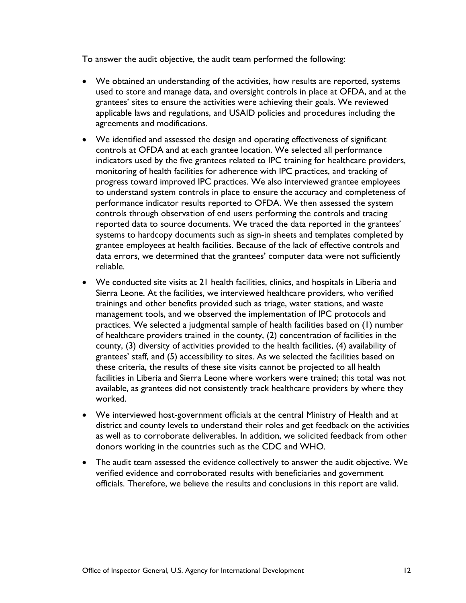To answer the audit objective, the audit team performed the following:

- We obtained an understanding of the activities, how results are reported, systems used to store and manage data, and oversight controls in place at OFDA, and at the grantees' sites to ensure the activities were achieving their goals. We reviewed applicable laws and regulations, and USAID policies and procedures including the agreements and modifications.
- We identified and assessed the design and operating effectiveness of significant controls at OFDA and at each grantee location. We selected all performance indicators used by the five grantees related to IPC training for healthcare providers, monitoring of health facilities for adherence with IPC practices, and tracking of progress toward improved IPC practices. We also interviewed grantee employees to understand system controls in place to ensure the accuracy and completeness of performance indicator results reported to OFDA. We then assessed the system controls through observation of end users performing the controls and tracing reported data to source documents. We traced the data reported in the grantees' systems to hardcopy documents such as sign-in sheets and templates completed by grantee employees at health facilities. Because of the lack of effective controls and data errors, we determined that the grantees' computer data were not sufficiently reliable.
- We conducted site visits at 21 health facilities, clinics, and hospitals in Liberia and Sierra Leone. At the facilities, we interviewed healthcare providers, who verified trainings and other benefits provided such as triage, water stations, and waste management tools, and we observed the implementation of IPC protocols and practices. We selected a judgmental sample of health facilities based on (1) number of healthcare providers trained in the county, (2) concentration of facilities in the county, (3) diversity of activities provided to the health facilities, (4) availability of grantees' staff, and (5) accessibility to sites. As we selected the facilities based on these criteria, the results of these site visits cannot be projected to all health facilities in Liberia and Sierra Leone where workers were trained; this total was not available, as grantees did not consistently track healthcare providers by where they worked.
- We interviewed host-government officials at the central Ministry of Health and at district and county levels to understand their roles and get feedback on the activities as well as to corroborate deliverables. In addition, we solicited feedback from other donors working in the countries such as the CDC and WHO.
- The audit team assessed the evidence collectively to answer the audit objective. We verified evidence and corroborated results with beneficiaries and government officials. Therefore, we believe the results and conclusions in this report are valid.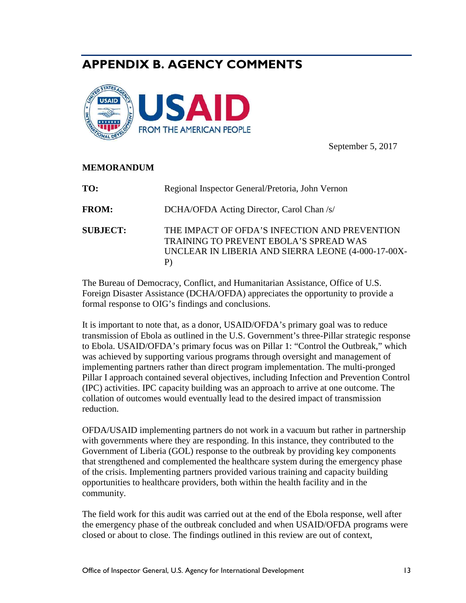### **APPENDIX B. AGENCY COMMENTS**



September 5, 2017

#### **MEMORANDUM**

| TO:             | Regional Inspector General/Pretoria, John Vernon                                                                                                    |
|-----------------|-----------------------------------------------------------------------------------------------------------------------------------------------------|
| <b>FROM:</b>    | DCHA/OFDA Acting Director, Carol Chan /s/                                                                                                           |
| <b>SUBJECT:</b> | THE IMPACT OF OFDA'S INFECTION AND PREVENTION<br>TRAINING TO PREVENT EBOLA'S SPREAD WAS<br>UNCLEAR IN LIBERIA AND SIERRA LEONE (4-000-17-00X-<br>P) |

The Bureau of Democracy, Conflict, and Humanitarian Assistance, Office of U.S. Foreign Disaster Assistance (DCHA/OFDA) appreciates the opportunity to provide a formal response to OIG's findings and conclusions.

It is important to note that, as a donor, USAID/OFDA's primary goal was to reduce transmission of Ebola as outlined in the U.S. Government's three-Pillar strategic response to Ebola. USAID/OFDA's primary focus was on Pillar 1: "Control the Outbreak," which was achieved by supporting various programs through oversight and management of implementing partners rather than direct program implementation. The multi-pronged Pillar I approach contained several objectives, including Infection and Prevention Control (IPC) activities. IPC capacity building was an approach to arrive at one outcome. The collation of outcomes would eventually lead to the desired impact of transmission reduction.

OFDA/USAID implementing partners do not work in a vacuum but rather in partnership with governments where they are responding. In this instance, they contributed to the Government of Liberia (GOL) response to the outbreak by providing key components that strengthened and complemented the healthcare system during the emergency phase of the crisis. Implementing partners provided various training and capacity building opportunities to healthcare providers, both within the health facility and in the community.

The field work for this audit was carried out at the end of the Ebola response, well after the emergency phase of the outbreak concluded and when USAID/OFDA programs were closed or about to close. The findings outlined in this review are out of context,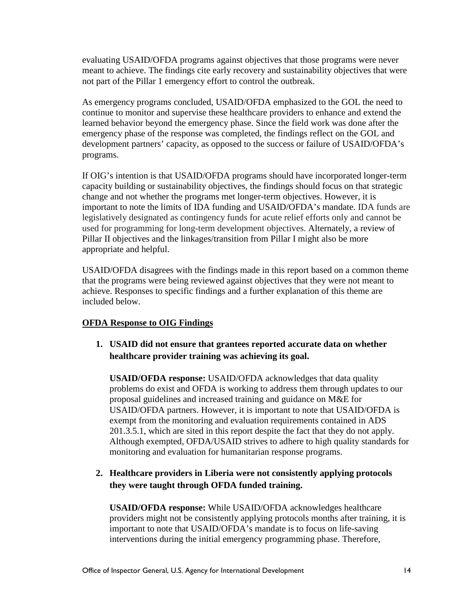evaluating USAID/OFDA programs against objectives that those programs were never meant to achieve. The findings cite early recovery and sustainability objectives that were not part of the Pillar 1 emergency effort to control the outbreak.

As emergency programs concluded, USAID/OFDA emphasized to the GOL the need to continue to monitor and supervise these healthcare providers to enhance and extend the learned behavior beyond the emergency phase. Since the field work was done after the emergency phase of the response was completed, the findings reflect on the GOL and development partners' capacity, as opposed to the success or failure of USAID/OFDA's programs.

If OIG's intention is that USAID/OFDA programs should have incorporated longer-term capacity building or sustainability objectives, the findings should focus on that strategic change and not whether the programs met longer-term objectives. However, it is important to note the limits of IDA funding and USAID/OFDA's mandate. IDA funds are legislatively designated as contingency funds for acute relief efforts only and cannot be used for programming for long-term development objectives. Alternately, a review of Pillar II objectives and the linkages/transition from Pillar I might also be more appropriate and helpful.

USAID/OFDA disagrees with the findings made in this report based on a common theme that the programs were being reviewed against objectives that they were not meant to achieve. Responses to specific findings and a further explanation of this theme are included below.

#### **OFDA Response to OIG Findings**

**1. USAID did not ensure that grantees reported accurate data on whether healthcare provider training was achieving its goal.**

**USAID/OFDA response:** USAID/OFDA acknowledges that data quality problems do exist and OFDA is working to address them through updates to our proposal guidelines and increased training and guidance on M&E for USAID/OFDA partners. However, it is important to note that USAID/OFDA is exempt from the monitoring and evaluation requirements contained in ADS 201.3.5.1, which are sited in this report despite the fact that they do not apply. Although exempted, OFDA/USAID strives to adhere to high quality standards for monitoring and evaluation for humanitarian response programs.

### **2. Healthcare providers in Liberia were not consistently applying protocols they were taught through OFDA funded training.**

**USAID/OFDA response:** While USAID/OFDA acknowledges healthcare providers might not be consistently applying protocols months after training, it is important to note that USAID/OFDA's mandate is to focus on life-saving interventions during the initial emergency programming phase. Therefore,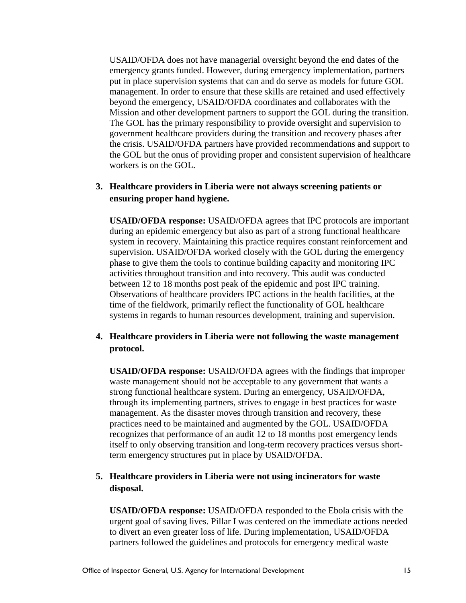USAID/OFDA does not have managerial oversight beyond the end dates of the emergency grants funded. However, during emergency implementation, partners put in place supervision systems that can and do serve as models for future GOL management. In order to ensure that these skills are retained and used effectively beyond the emergency, USAID/OFDA coordinates and collaborates with the Mission and other development partners to support the GOL during the transition. The GOL has the primary responsibility to provide oversight and supervision to government healthcare providers during the transition and recovery phases after the crisis. USAID/OFDA partners have provided recommendations and support to the GOL but the onus of providing proper and consistent supervision of healthcare workers is on the GOL.

#### **3. Healthcare providers in Liberia were not always screening patients or ensuring proper hand hygiene.**

**USAID/OFDA response:** USAID/OFDA agrees that IPC protocols are important during an epidemic emergency but also as part of a strong functional healthcare system in recovery. Maintaining this practice requires constant reinforcement and supervision. USAID/OFDA worked closely with the GOL during the emergency phase to give them the tools to continue building capacity and monitoring IPC activities throughout transition and into recovery. This audit was conducted between 12 to 18 months post peak of the epidemic and post IPC training. Observations of healthcare providers IPC actions in the health facilities, at the time of the fieldwork, primarily reflect the functionality of GOL healthcare systems in regards to human resources development, training and supervision.

#### **4. Healthcare providers in Liberia were not following the waste management protocol.**

**USAID/OFDA response:** USAID/OFDA agrees with the findings that improper waste management should not be acceptable to any government that wants a strong functional healthcare system. During an emergency, USAID/OFDA, through its implementing partners, strives to engage in best practices for waste management. As the disaster moves through transition and recovery, these practices need to be maintained and augmented by the GOL. USAID/OFDA recognizes that performance of an audit 12 to 18 months post emergency lends itself to only observing transition and long-term recovery practices versus shortterm emergency structures put in place by USAID/OFDA.

#### **5. Healthcare providers in Liberia were not using incinerators for waste disposal.**

**USAID/OFDA response:** USAID/OFDA responded to the Ebola crisis with the urgent goal of saving lives. Pillar I was centered on the immediate actions needed to divert an even greater loss of life. During implementation, USAID/OFDA partners followed the guidelines and protocols for emergency medical waste